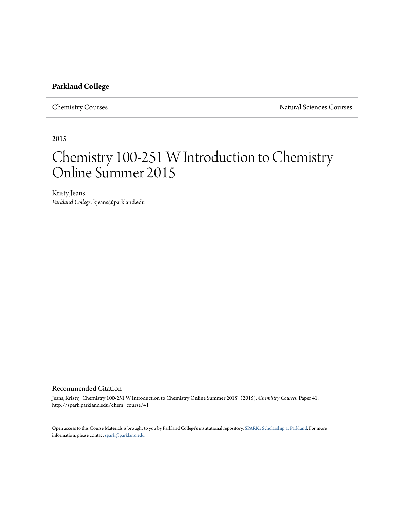#### **Parkland College**

Chemistry Courses Natural Sciences Courses

2015

# Chemistry 100-251 W Introduction to Chemistry Online Summer 2015

Kristy Jeans *Parkland College*, kjeans@parkland.edu

#### Recommended Citation

Jeans, Kristy, "Chemistry 100-251 W Introduction to Chemistry Online Summer 2015" (2015). *Chemistry Courses.* Paper 41. http://spark.parkland.edu/chem\_course/41

Open access to this Course Materials is brought to you by Parkland College's institutional repository, [SPARK: Scholarship at Parkland](http://spark.parkland.edu/). For more information, please contact [spark@parkland.edu](mailto:spark@parkland.edu).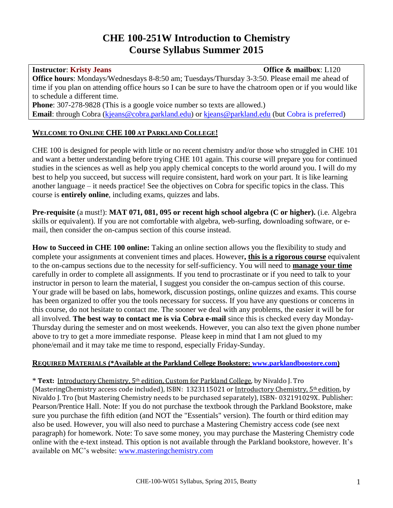## **CHE 100-251W Introduction to Chemistry Course Syllabus Summer 2015**

# **Instructor**: **Kristy Jeans Office & mailbox**: L120

**Office hours**: Mondays/Wednesdays 8-8:50 am; Tuesdays/Thursday 3-3:50. Please email me ahead of time if you plan on attending office hours so I can be sure to have the chatroom open or if you would like to schedule a different time.

Phone: 307-278-9828 (This is a google voice number so texts are allowed.) **Email**: through Cobra [\(kjeans@cobra.parkland.edu\)](mailto:kjeans@cobra.parkland.edu) or [kjeans@parkland.edu](mailto:kjeans@parkland.edu) (but Cobra is preferred)

### **WELCOME TO ONLINE CHE 100 AT PARKLAND COLLEGE!**

CHE 100 is designed for people with little or no recent chemistry and/or those who struggled in CHE 101 and want a better understanding before trying CHE 101 again. This course will prepare you for continued studies in the sciences as well as help you apply chemical concepts to the world around you. I will do my best to help you succeed, but success will require consistent, hard work on your part. It is like learning another language – it needs practice! See the objectives on Cobra for specific topics in the class. This course is **entirely online**, including exams, quizzes and labs.

**Pre-requisite** (a must!): **MAT 071, 081, 095 or recent high school algebra (C or higher).** (i.e. Algebra skills or equivalent). If you are not comfortable with algebra, web-surfing, downloading software, or email, then consider the on-campus section of this course instead.

**How to Succeed in CHE 100 online:** Taking an online section allows you the flexibility to study and complete your assignments at convenient times and places. However**, this is a rigorous course** equivalent to the on-campus sections due to the necessity for self-sufficiency. You will need to **manage your time** carefully in order to complete all assignments. If you tend to procrastinate or if you need to talk to your instructor in person to learn the material, I suggest you consider the on-campus section of this course. Your grade will be based on labs, homework, discussion postings, online quizzes and exams. This course has been organized to offer you the tools necessary for success. If you have any questions or concerns in this course, do not hesitate to contact me. The sooner we deal with any problems, the easier it will be for all involved. **The best way to contact me is via Cobra e-mail** since this is checked every day Monday-Thursday during the semester and on most weekends. However, you can also text the given phone number above to try to get a more immediate response. Please keep in mind that I am not glued to my phone/email and it may take me time to respond, especially Friday-Sunday.

### **REQUIRED MATERIALS (\*Available at the Parkland College Bookstore: [www.parklandboostore.com\)](http://www.parklandboostore.com/)**

\* **Text:** Introductory Chemistry, 5th edition, Custom for Parkland College, by Nivaldo J. Tro (MasteringChemistry access code included), ISBN: 1323115021 or Introductory Chemistry, 5th edition, by Nivaldo J. Tro (but Mastering Chemistry needs to be purchased separately), ISBN- 032191029X. Publisher: Pearson/Prentice Hall. Note: If you do not purchase the textbook through the Parkland Bookstore, make sure you purchase the fifth edition (and NOT the "Essentials" version). The fourth or third edition may also be used. However, you will also need to purchase a Mastering Chemistry access code (see next paragraph) for homework. Note: To save some money, you may purchase the Mastering Chemistry code online with the e-text instead. This option is not available through the Parkland bookstore, however. It's available on MC's website: [www.masteringchemistry.com](http://www.masteringchemistry.com/)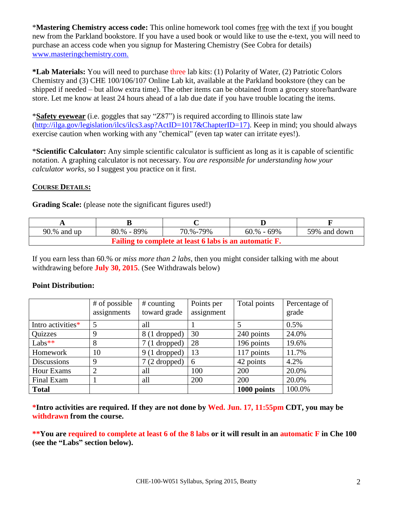\***Mastering Chemistry access code:** This online homework tool comes free with the text if you bought new from the Parkland bookstore. If you have a used book or would like to use the e-text, you will need to purchase an access code when you signup for Mastering Chemistry (See Cobra for details) www.masteringchemistry.com.

**\*Lab Materials:** You will need to purchase three lab kits: (1) Polarity of Water, (2) Patriotic Colors Chemistry and (3) CHE 100/106/107 Online Lab kit, available at the Parkland bookstore (they can be shipped if needed – but allow extra time). The other items can be obtained from a grocery store/hardware store. Let me know at least 24 hours ahead of a lab due date if you have trouble locating the items.

\***Safety eyewear** (i.e. goggles that say "Z87") is required according to Illinois state law [\(http://ilga.gov/legislation/ilcs/ilcs3.asp?ActID=1017&ChapterID=17\)](http://ilga.gov/legislation/ilcs/ilcs3.asp?ActID=1017&ChapterID=17). Keep in mind; you should always exercise caution when working with any "chemical" (even tap water can irritate eyes!).

\***Scientific Calculator:** Any simple scientific calculator is sufficient as long as it is capable of scientific notation. A graphing calculator is not necessary. *You are responsible for understanding how your calculator works*, so I suggest you practice on it first.

#### **COURSE DETAILS:**

**Grading Scale:** (please note the significant figures used!)

| 90.% and up                                            | 80.% - 89% | 70.%-79% | $60. \%$ - $69\%$ | 59% and down |  |  |  |
|--------------------------------------------------------|------------|----------|-------------------|--------------|--|--|--|
| Failing to complete at least 6 labs is an automatic F. |            |          |                   |              |  |  |  |

If you earn less than 60.% or *miss more than 2 labs*, then you might consider talking with me about withdrawing before **July 30, 2015**. (See Withdrawals below)

#### **Point Distribution:**

|                    | # of possible<br>assignments | $#$ counting<br>toward grade | Points per<br>assignment | Total points | Percentage of<br>grade |
|--------------------|------------------------------|------------------------------|--------------------------|--------------|------------------------|
| Intro activities*  | 5                            | all                          |                          |              | 0.5%                   |
| <b>Quizzes</b>     | 9                            | 8 (1 dropped)                | 30                       | 240 points   | 24.0%                  |
| Labs**             | 8                            | 7 (1 dropped)                | 28                       | 196 points   | 19.6%                  |
| Homework           | 10                           | $9(1$ dropped)               | 13                       | 117 points   | 11.7%                  |
| <b>Discussions</b> | 9                            | $7(2$ dropped)               | 6                        | 42 points    | 4.2%                   |
| <b>Hour Exams</b>  | $\overline{2}$               | all                          | 100                      | 200          | 20.0%                  |
| Final Exam         |                              | all                          | 200                      | 200          | 20.0%                  |
| <b>Total</b>       |                              |                              |                          | 1000 points  | 100.0%                 |

**\*Intro activities are required. If they are not done by Wed. Jun. 17, 11:55pm CDT, you may be withdrawn from the course.**

**\*\*You are required to complete at least 6 of the 8 labs or it will result in an automatic F in Che 100 (see the "Labs" section below).**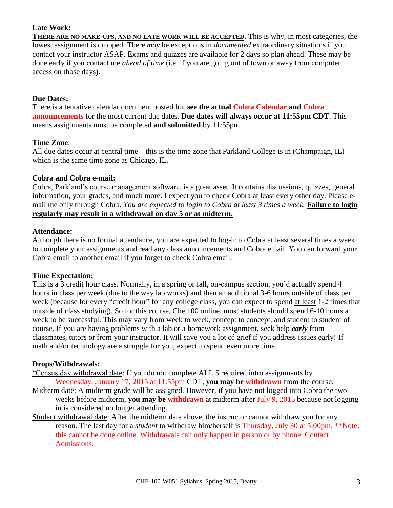#### **Late Work:**

**THERE ARE NO MAKE-UPS, AND NO LATE WORK WILL BE ACCEPTED.** This is why, in most categories, the lowest assignment is dropped. There *may* be exceptions in *documented* extraordinary situations if you contact your instructor ASAP. Exams and quizzes are available for 2 days so plan ahead. These may be done early if you contact me *ahead of time* (i.e. if you are going out of town or away from computer access on those days).

#### **Due Dates:**

There is a tentative calendar document posted but **see the actual Cobra Calendar and Cobra announcements** for the most current due dates. **Due dates will always occur at 11:55pm CDT**. This means assignments must be completed **and submitted** by 11:55pm.

#### **Time Zone**:

All due dates occur at central time – this is the time zone that Parkland College is in (Champaign, IL) which is the same time zone as Chicago, IL.

#### **Cobra and Cobra e-mail:**

Cobra, Parkland's course management software, is a great asset. It contains discussions, quizzes, general information, your grades, and much more. I expect you to check Cobra at least every other day. Please email me only through Cobra. *You are expected to login to Cobra at least 3 times a week.* **Failure to login regularly may result in a withdrawal on day 5 or at midterm.**

#### **Attendance:**

Although there is no formal attendance, you are expected to log-in to Cobra at least several times a week to complete your assignments and read any class announcements and Cobra email. You can forward your Cobra email to another email if you forget to check Cobra email.

#### **Time Expectation:**

This is a 3 credit hour class. Normally, in a spring or fall, on-campus section, you'd actually spend 4 hours in class per week (due to the way lab works) and then an additional 3-6 hours outside of class per week (because for every "credit hour" for any college class, you can expect to spend at least 1-2 times that outside of class studying). So for this course, Che 100 online, most students should spend 6-10 hours a week to be successful. This may vary from week to week, concept to concept, and student to student of course. If you are having problems with a lab or a homework assignment, seek help *early* from classmates, tutors or from your instructor. It will save you a lot of grief if you address issues early! If math and/or technology are a struggle for you, expect to spend even more time.

#### **Drops/Withdrawals:**

- "Census day withdrawal date: If you do not complete ALL 5 required intro assignments by Wednesday, January 17, 2015 at 11:55pm CDT, **you may be withdrawn** from the course.
- Midterm date: A midterm grade will be assigned. However, if you have not logged into Cobra the two weeks before midterm, **you may be withdrawn** at midterm after July 9, 2015 because not logging in is considered no longer attending.
- Student withdrawal date: After the midterm date above, the instructor cannot withdraw you for any reason. The last day for a *student* to withdraw him/herself is Thursday, July 30 at 5:00pm. \*\*Note: this cannot be done online. Withdrawals can only happen in person or by phone. Contact Admissions.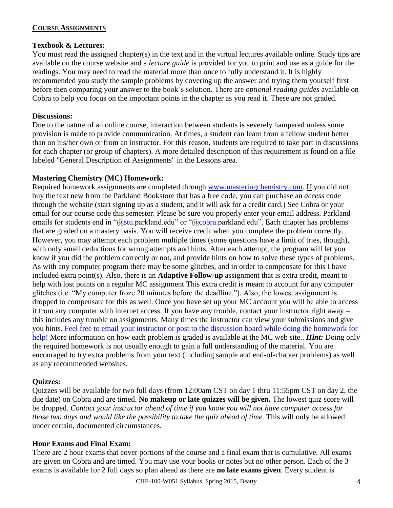#### **COURSE ASSIGNMENTS**

#### **Textbook & Lectures:**

You must read the assigned chapter(s) in the text and in the virtual lectures available online. Study tips are available on the course website and a *lecture guide* is provided for you to print and use as a guide for the readings. You may need to read the material more than once to fully understand it. It is highly recommended you study the sample problems by covering up the answer and trying them yourself first before then comparing your answer to the book's solution. There are *optional reading guides* available on Cobra to help you focus on the important points in the chapter as you read it. These are not graded.

#### **Discussions:**

Due to the nature of an online course, interaction between students is severely hampered unless some provision is made to provide communication. At times, a student can learn from a fellow student better than on his/her own or from an instructor. For this reason, students are required to take part in discussions for each chapter (or group of chapters). A more detailed description of this requirement is found on a file labeled "General Description of Assignments" in the Lessons area.

#### **Mastering Chemistry (MC) Homework:**

Required homework assignments are completed through [www.masteringchemistry.com.](http://www.masteringchemistry.com/) If you did not buy the text new from the Parkland Bookstore that has a free code, you can purchase an *access code*  through the website (start signing up as a student, and it will ask for a credit card.) See Cobra or your email for our course code this semester. Please be sure you properly enter your email address. Parkland emails for students end in "@stu.parkland.edu" or "@cobra.parkland.edu". Each chapter has problems that are graded on a mastery basis. You will receive credit when you complete the problem correctly. However, you may attempt each problem multiple times (some questions have a limit of tries, though), with only small deductions for wrong attempts and hints. After each attempt, the program will let you know if you did the problem correctly or not, and provide hints on how to solve these types of problems. As with any computer program there may be some glitches, and in order to compensate for this I have included extra point(s). Also, there is an **Adaptive Follow-up** assignment that is extra credit, meant to help with lost points on a regular MC assignment This extra credit is meant to account for any computer glitches (i.e. "My computer froze 20 minutes before the deadline."). Also, the lowest assignment is dropped to compensate for this as well. Once you have set up your MC account you will be able to access it from any computer with internet access. If you have any trouble, contact your instructor right away – this includes any trouble on assignments. Many times the instructor can view your submissions and give you hints. Feel free to email your instructor or post to the discussion board while doing the homework for help! More information on how each problem is graded is available at the MC web site.. *Hint:* Doing only the required homework is not usually enough to gain a full understanding of the material. You are encouraged to try extra problems from your text (including sample and end-of-chapter problems) as well as any recommended websites.

#### **Quizzes:**

Quizzes will be available for two full days (from 12:00am CST on day 1 thru 11:55pm CST on day 2, the due date) on Cobra and are timed. **No makeup or late quizzes will be given.** The lowest quiz score will be dropped. *Contact your instructor ahead of time if you know you will not have computer access for those two days and would like the possibility to take the quiz ahead of time.* This will only be allowed under certain, documented circumstances.

#### **Hour Exams and Final Exam:**

There are 2 hour exams that cover portions of the course and a final exam that is cumulative. All exams are given on Cobra and are timed. You may use your books or notes but no other person. Each of the 3 exams is available for 2 full days so plan ahead as there are **no late exams given**. Every student is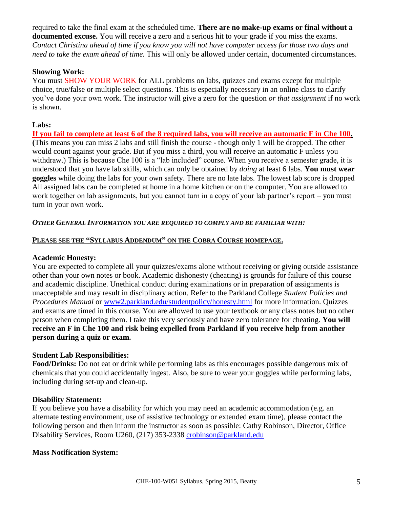required to take the final exam at the scheduled time. **There are no make-up exams or final without a documented excuse.** You will receive a zero and a serious hit to your grade if you miss the exams. *Contact Christina ahead of time if you know you will not have computer access for those two days and need to take the exam ahead of time.* This will only be allowed under certain, documented circumstances.

#### **Showing Work:**

You must SHOW YOUR WORK for ALL problems on labs, quizzes and exams except for multiple choice, true/false or multiple select questions. This is especially necessary in an online class to clarify you've done your own work. The instructor will give a zero for the question *or that assignment* if no work is shown.

#### **Labs:**

**If you fail to complete at least 6 of the 8 required labs, you will receive an automatic F in Che 100. (**This means you can miss 2 labs and still finish the course - though only 1 will be dropped. The other would count against your grade. But if you miss a third, you will receive an automatic F unless you withdraw.) This is because Che 100 is a "lab included" course. When you receive a semester grade, it is understood that you have lab skills, which can only be obtained by *doing* at least 6 labs. **You must wear goggles** while doing the labs for your own safety. There are no late labs. The lowest lab score is dropped All assigned labs can be completed at home in a home kitchen or on the computer. You are allowed to work together on lab assignments, but you cannot turn in a copy of your lab partner's report – you must turn in your own work.

#### *OTHER GENERAL INFORMATION YOU ARE REQUIRED TO COMPLY AND BE FAMILIAR WITH:*

#### **PLEASE SEE THE "SYLLABUS ADDENDUM" ON THE COBRA COURSE HOMEPAGE.**

#### **Academic Honesty:**

You are expected to complete all your quizzes/exams alone without receiving or giving outside assistance other than your own notes or book. Academic dishonesty (cheating) is grounds for failure of this course and academic discipline. Unethical conduct during examinations or in preparation of assignments is unacceptable and may result in disciplinary action. Refer to the Parkland College *Student Policies and Procedures Manual* or [www2.parkland.edu/studentpolicy/honesty.html](http://www2.parklamd.edu/studentpolicy/honesty.html) for more information. Quizzes and exams are timed in this course. You are allowed to use your textbook or any class notes but no other person when completing them. I take this very seriously and have zero tolerance for cheating. **You will receive an F in Che 100 and risk being expelled from Parkland if you receive help from another person during a quiz or exam.**

#### **Student Lab Responsibilities:**

**Food/Drinks:** Do not eat or drink while performing labs as this encourages possible dangerous mix of chemicals that you could accidentally ingest. Also, be sure to wear your goggles while performing labs, including during set-up and clean-up.

#### **Disability Statement:**

If you believe you have a disability for which you may need an academic accommodation (e.g. an alternate testing environment, use of assistive technology or extended exam time), please contact the following person and then inform the instructor as soon as possible: Cathy Robinson, Director, Office Disability Services, Room U260, (217) 353-2338 [crobinson@parkland.edu](mailto:crobinson@parkland.edu)

#### **Mass Notification System:**